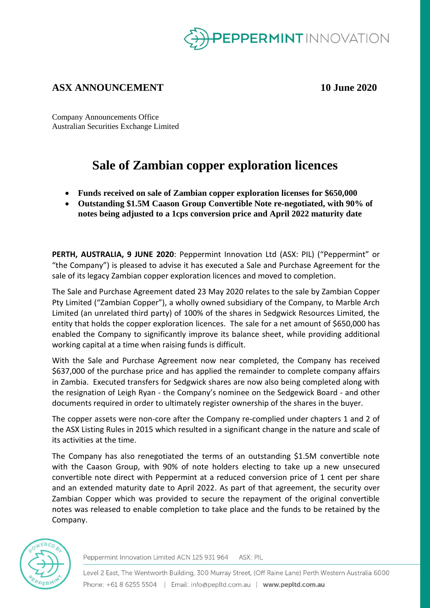

## **ASX ANNOUNCEMENT 10 June 2020**

Company Announcements Office Australian Securities Exchange Limited

# **Sale of Zambian copper exploration licences**

- **Funds received on sale of Zambian copper exploration licenses for \$650,000**
- **Outstanding \$1.5M Caason Group Convertible Note re-negotiated, with 90% of notes being adjusted to a 1cps conversion price and April 2022 maturity date**

**PERTH, AUSTRALIA, 9 JUNE 2020**: Peppermint Innovation Ltd (ASX: PIL) ("Peppermint" or "the Company") is pleased to advise it has executed a Sale and Purchase Agreement for the sale of its legacy Zambian copper exploration licences and moved to completion.

The Sale and Purchase Agreement dated 23 May 2020 relates to the sale by Zambian Copper Pty Limited ("Zambian Copper"), a wholly owned subsidiary of the Company, to Marble Arch Limited (an unrelated third party) of 100% of the shares in Sedgwick Resources Limited, the entity that holds the copper exploration licences. The sale for a net amount of \$650,000 has enabled the Company to significantly improve its balance sheet, while providing additional working capital at a time when raising funds is difficult.

With the Sale and Purchase Agreement now near completed, the Company has received \$637,000 of the purchase price and has applied the remainder to complete company affairs in Zambia. Executed transfers for Sedgwick shares are now also being completed along with the resignation of Leigh Ryan - the Company's nominee on the Sedgewick Board - and other documents required in order to ultimately register ownership of the shares in the buyer.

The copper assets were non-core after the Company re-complied under chapters 1 and 2 of the ASX Listing Rules in 2015 which resulted in a significant change in the nature and scale of its activities at the time.

The Company has also renegotiated the terms of an outstanding \$1.5M convertible note with the Caason Group, with 90% of note holders electing to take up a new unsecured convertible note direct with Peppermint at a reduced conversion price of 1 cent per share and an extended maturity date to April 2022. As part of that agreement, the security over Zambian Copper which was provided to secure the repayment of the original convertible notes was released to enable completion to take place and the funds to be retained by the Company.



Peppermint Innovation Limited ACN 125 931 964 ASX: PIL

Level 2 East, The Wentworth Building, 300 Murray Street, (Off Raine Lane) Perth Western Australia 6000 Phone: +61 8 6255 5504 | Email: info@pepltd.com.au | www.pepltd.com.au